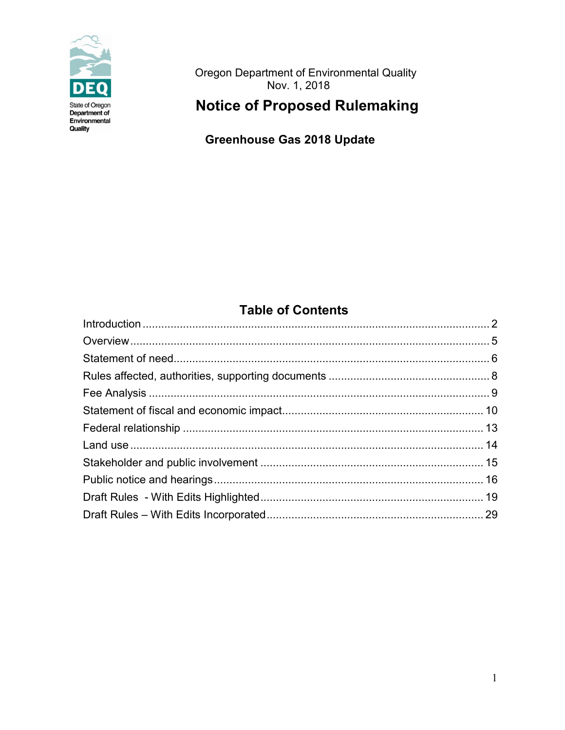

Oregon Department of Environmental Quality<br>Nov. 1, 2018

# **Notice of Proposed Rulemaking**

**Greenhouse Gas 2018 Update** 

## **Table of Contents**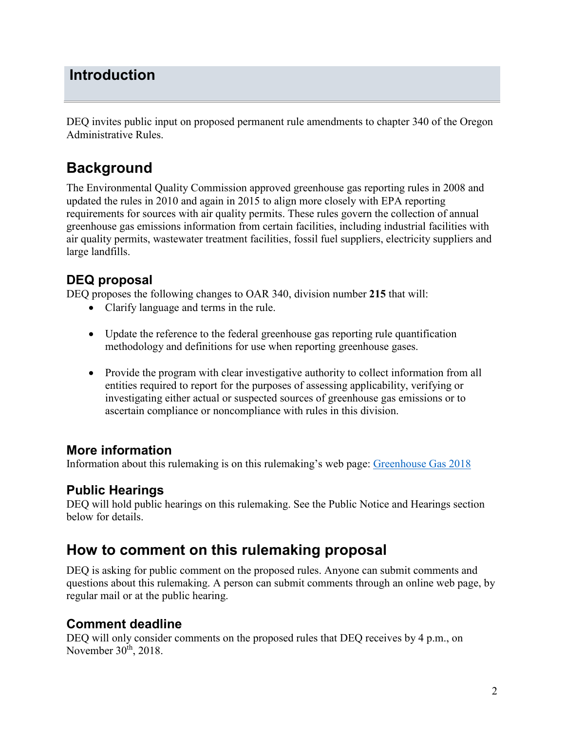## <span id="page-1-0"></span>**Introduction**

DEQ invites public input on proposed permanent rule amendments to chapter 340 of the Oregon Administrative Rules.

# **Background**

The Environmental Quality Commission approved [greenhouse gas reporting rules](https://secure.sos.state.or.us/oard/displayDivisionRules.action?selectedDivision=1538) in 2008 and updated the rules in 2010 and again in 2015 to align more closely with EPA reporting requirements for sources with air quality permits. These rules govern the collection of annual greenhouse gas emissions information from certain facilities, including industrial facilities with air quality permits, wastewater treatment facilities, fossil fuel suppliers, electricity suppliers and large landfills.

## **DEQ proposal**

DEQ proposes the following changes to OAR 340, division number **215** that will:

- Clarify language and terms in the rule.
- Update the reference to the federal greenhouse gas reporting rule quantification methodology and definitions for use when reporting greenhouse gases.
- Provide the program with clear investigative authority to collect information from all entities required to report for the purposes of assessing applicability, verifying or investigating either actual or suspected sources of greenhouse gas emissions or to ascertain compliance or noncompliance with rules in this division.

## **More information**

Information about this rulemaking is on this rulemaking's web page: [Greenhouse Gas 2018](https://www.oregon.gov/deq/Regulations/rulemaking/Pages/rGHG2018.aspx)

## **Public Hearings**

DEQ will hold public hearings on this rulemaking. See the Public Notice and Hearings section below for details.

# **How to comment on this rulemaking proposal**

DEQ is asking for public comment on the proposed rules. Anyone can submit comments and questions about this rulemaking. A person can submit comments through an online web page, by regular mail or at the public hearing.

## **Comment deadline**

DEQ will only consider comments on the proposed rules that DEQ receives by 4 p.m., on November  $30<sup>th</sup>$ , 2018.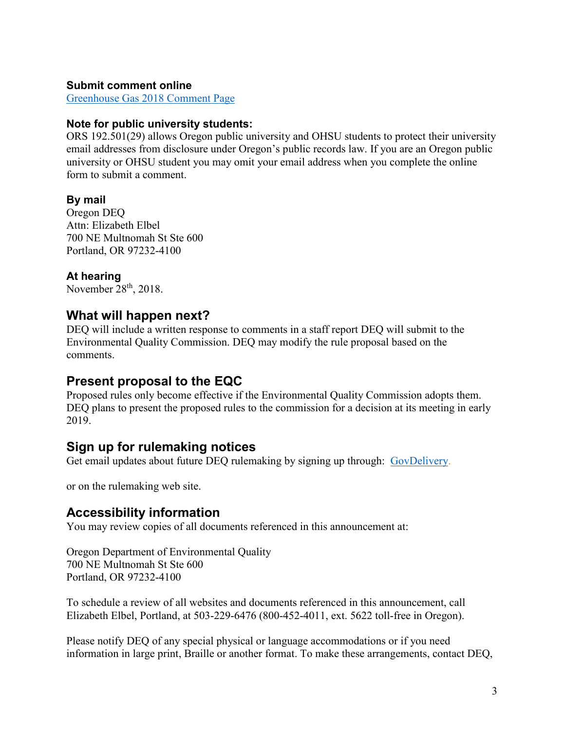#### **Submit comment online**

[Greenhouse Gas 2018 Comment Page](http://www.oregon.gov/deq/RulesandRegulations/Pages/comments/CGHG2018.aspx)

#### **Note for public university students:**

ORS 192.501(29) allows Oregon public university and OHSU students to protect their university email addresses from disclosure under Oregon's public records law. If you are an Oregon public university or OHSU student you may omit your email address when you complete the online form to submit a comment.

#### **By mail**

Oregon DEQ Attn: Elizabeth Elbel 700 NE Multnomah St Ste 600 Portland, OR 97232-4100

#### **At hearing**

November  $28<sup>th</sup>$ , 2018.

### **What will happen next?**

DEQ will include a written response to comments in a staff report DEQ will submit to the Environmental Quality Commission. DEQ may modify the rule proposal based on the comments.

#### **Present proposal to the EQC**

Proposed rules only become effective if the Environmental Quality Commission adopts them. DEQ plans to present the proposed rules to the commission for a decision at its meeting in early 2019.

### **Sign up for rulemaking notices**

Get email updates about future DEQ rulemaking by signing up through: [GovDelivery.](https://public.govdelivery.com/accounts/ORDEQ/subscriber/new?topic_id=ORDEQ_512)

or on the rulemaking web site.

#### **Accessibility information**

You may review copies of all documents referenced in this announcement at:

Oregon Department of Environmental Quality 700 NE Multnomah St Ste 600 Portland, OR 97232-4100

To schedule a review of all websites and documents referenced in this announcement, call Elizabeth Elbel, Portland, at 503-229-6476 (800-452-4011, ext. 5622 toll-free in Oregon).

Please notify DEQ of any special physical or language accommodations or if you need information in large print, Braille or another format. To make these arrangements, contact DEQ,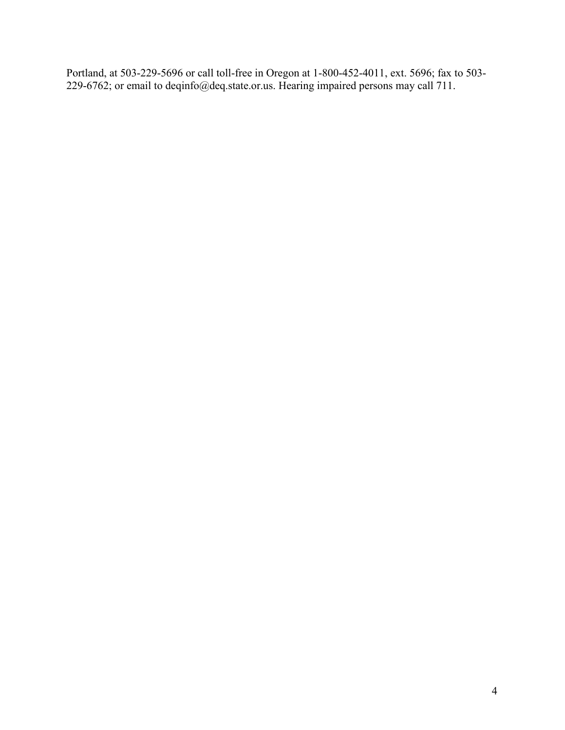Portland, at 503-229-5696 or call toll-free in Oregon at 1-800-452-4011, ext. 5696; fax to 503- 229-6762; or email to deqinfo@deq.state.or.us. Hearing impaired persons may call 711.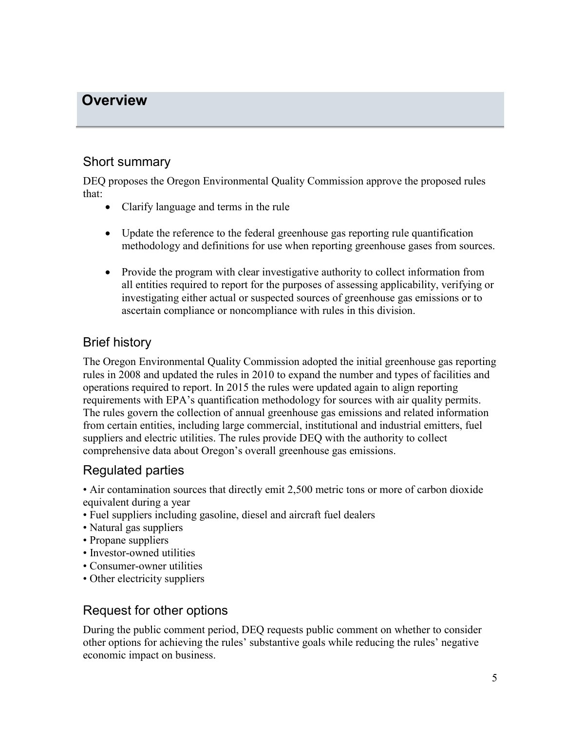## <span id="page-4-0"></span>**Overview**

### Short summary

DEQ proposes the Oregon Environmental Quality Commission approve the proposed rules that:

- Clarify language and terms in the rule
- Update the reference to the federal greenhouse gas reporting rule quantification methodology and definitions for use when reporting greenhouse gases from sources.
- Provide the program with clear investigative authority to collect information from all entities required to report for the purposes of assessing applicability, verifying or investigating either actual or suspected sources of greenhouse gas emissions or to ascertain compliance or noncompliance with rules in this division.

## Brief history

The Oregon Environmental Quality Commission adopted the initial greenhouse gas reporting rules in 2008 and updated the rules in 2010 to expand the number and types of facilities and operations required to report. In 2015 the rules were updated again to align reporting requirements with EPA's quantification methodology for sources with air quality permits. The rules govern the collection of annual greenhouse gas emissions and related information from certain entities, including large commercial, institutional and industrial emitters, fuel suppliers and electric utilities. The rules provide DEQ with the authority to collect comprehensive data about Oregon's overall greenhouse gas emissions.

## Regulated parties

• Air contamination sources that directly emit 2,500 metric tons or more of carbon dioxide equivalent during a year

- Fuel suppliers including gasoline, diesel and aircraft fuel dealers
- Natural gas suppliers
- Propane suppliers
- Investor-owned utilities
- Consumer-owner utilities
- Other electricity suppliers

## Request for other options

During the public comment period, DEQ requests public comment on whether to consider other options for achieving the rules' substantive goals while reducing the rules' negative economic impact on business.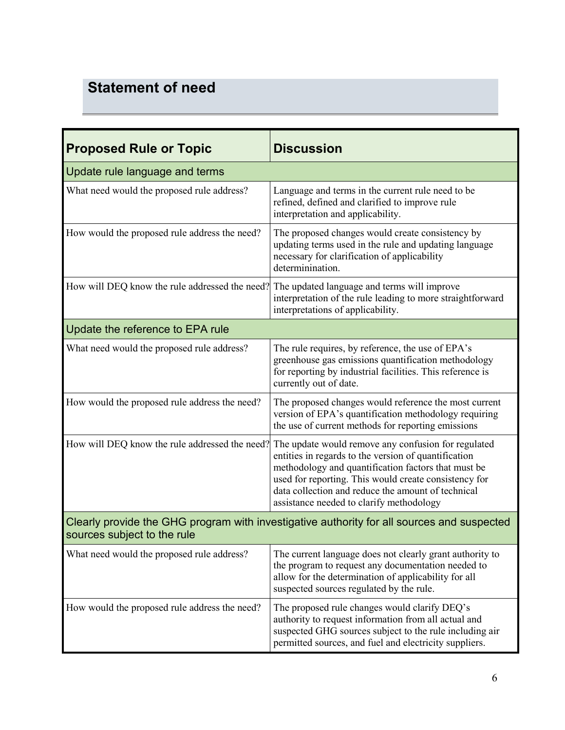# <span id="page-5-0"></span>**Statement of need**

| <b>Proposed Rule or Topic</b>                                                                                             | <b>Discussion</b>                                                                                                                                                                                                                                                                                                             |  |
|---------------------------------------------------------------------------------------------------------------------------|-------------------------------------------------------------------------------------------------------------------------------------------------------------------------------------------------------------------------------------------------------------------------------------------------------------------------------|--|
| Update rule language and terms                                                                                            |                                                                                                                                                                                                                                                                                                                               |  |
| What need would the proposed rule address?                                                                                | Language and terms in the current rule need to be<br>refined, defined and clarified to improve rule<br>interpretation and applicability.                                                                                                                                                                                      |  |
| How would the proposed rule address the need?                                                                             | The proposed changes would create consistency by<br>updating terms used in the rule and updating language<br>necessary for clarification of applicability<br>determinination.                                                                                                                                                 |  |
| How will DEQ know the rule addressed the need?                                                                            | The updated language and terms will improve<br>interpretation of the rule leading to more straightforward<br>interpretations of applicability.                                                                                                                                                                                |  |
| Update the reference to EPA rule                                                                                          |                                                                                                                                                                                                                                                                                                                               |  |
| What need would the proposed rule address?                                                                                | The rule requires, by reference, the use of EPA's<br>greenhouse gas emissions quantification methodology<br>for reporting by industrial facilities. This reference is<br>currently out of date.                                                                                                                               |  |
| How would the proposed rule address the need?                                                                             | The proposed changes would reference the most current<br>version of EPA's quantification methodology requiring<br>the use of current methods for reporting emissions                                                                                                                                                          |  |
| How will DEQ know the rule addressed the need?                                                                            | The update would remove any confusion for regulated<br>entities in regards to the version of quantification<br>methodology and quantification factors that must be<br>used for reporting. This would create consistency for<br>data collection and reduce the amount of technical<br>assistance needed to clarify methodology |  |
| Clearly provide the GHG program with investigative authority for all sources and suspected<br>sources subject to the rule |                                                                                                                                                                                                                                                                                                                               |  |
| What need would the proposed rule address?                                                                                | The current language does not clearly grant authority to<br>the program to request any documentation needed to<br>allow for the determination of applicability for all<br>suspected sources regulated by the rule.                                                                                                            |  |
| How would the proposed rule address the need?                                                                             | The proposed rule changes would clarify DEQ's<br>authority to request information from all actual and<br>suspected GHG sources subject to the rule including air<br>permitted sources, and fuel and electricity suppliers.                                                                                                    |  |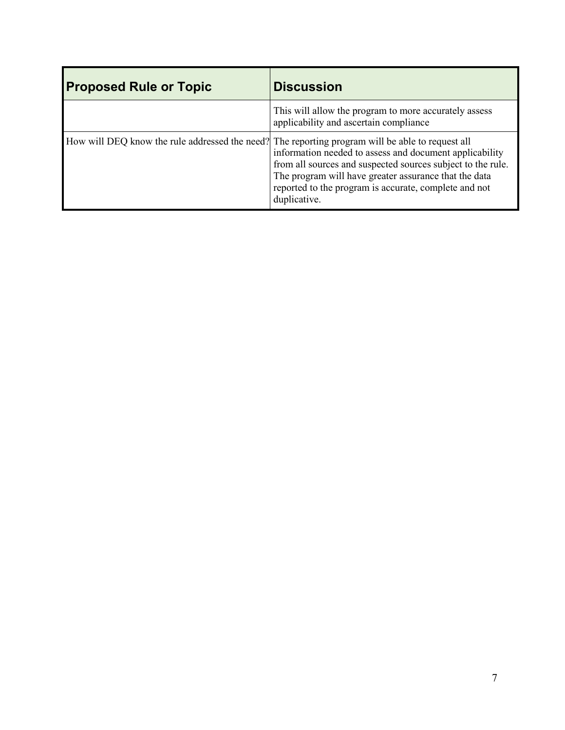| <b>Proposed Rule or Topic</b>                                                                    | <b>Discussion</b>                                                                                                                                                                                                                                        |
|--------------------------------------------------------------------------------------------------|----------------------------------------------------------------------------------------------------------------------------------------------------------------------------------------------------------------------------------------------------------|
|                                                                                                  | This will allow the program to more accurately assess<br>applicability and ascertain compliance                                                                                                                                                          |
| How will DEQ know the rule addressed the need? The reporting program will be able to request all | information needed to assess and document applicability<br>from all sources and suspected sources subject to the rule.<br>The program will have greater assurance that the data<br>reported to the program is accurate, complete and not<br>duplicative. |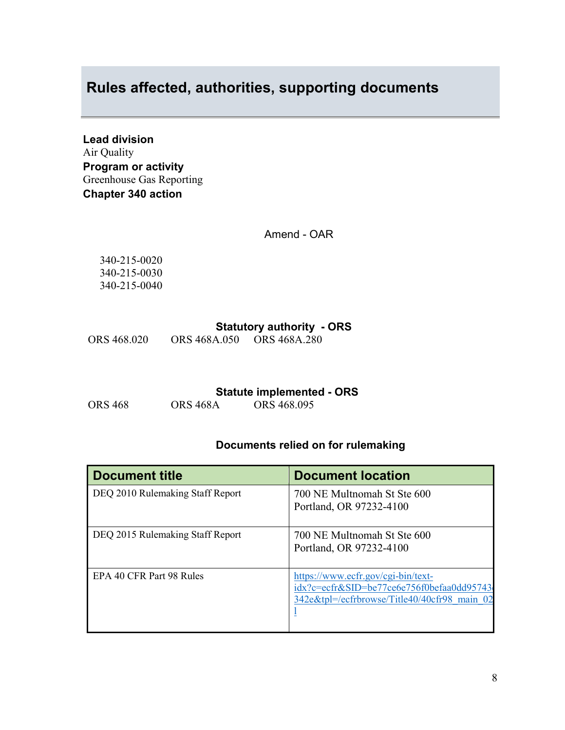## <span id="page-7-0"></span>**Rules affected, authorities, supporting documents**

**Lead division** Air Quality **Program or activity** Greenhouse Gas Reporting **Chapter 340 action**

Amend - OAR

340-215-0020 340-215-0030 340-215-0040

#### **Statutory authority - ORS**

ORS 468.020 ORS 468A.050 ORS 468A.280

**Statute implemented - ORS**<br>ORS 468.095

ORS 468 ORS 468A ORS 468.095

### **Documents relied on for rulemaking**

| <b>Document title</b>            | <b>Document location</b>                                                                                                        |
|----------------------------------|---------------------------------------------------------------------------------------------------------------------------------|
| DEQ 2010 Rulemaking Staff Report | 700 NE Multnomah St Ste 600<br>Portland, OR 97232-4100                                                                          |
| DEQ 2015 Rulemaking Staff Report | 700 NE Multnomah St Ste 600<br>Portland, OR 97232-4100                                                                          |
| EPA 40 CFR Part 98 Rules         | https://www.ecfr.gov/cgi-bin/text-<br>idx?c=ecfr&SID=be77ce6e756f0befaa0dd95743<br>342e&tpl=/ecfrbrowse/Title40/40cfr98 main 02 |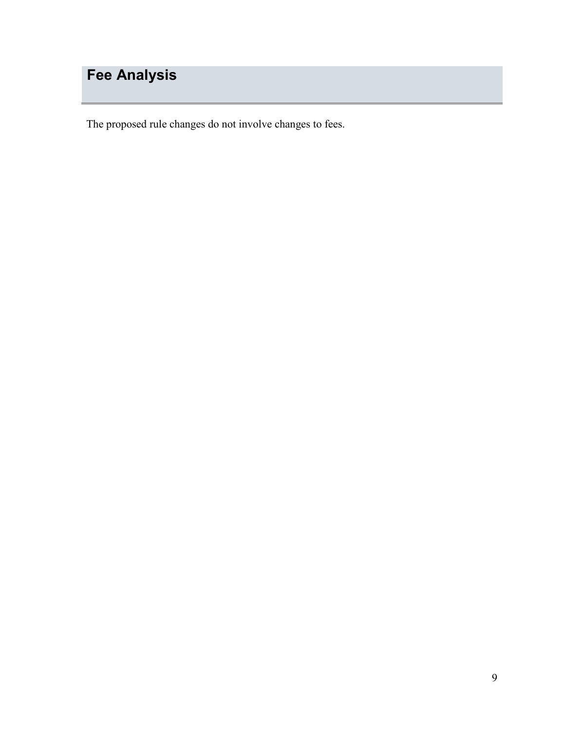# <span id="page-8-0"></span>**Fee Analysis**

The proposed rule changes do not involve changes to fees.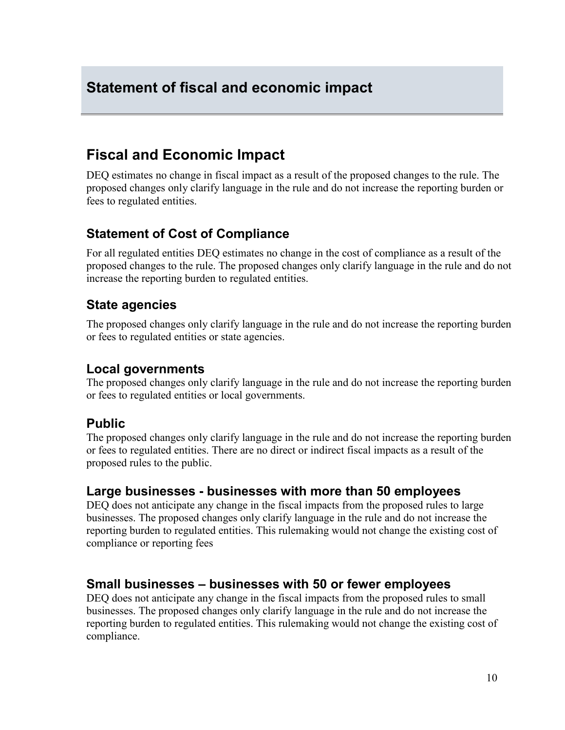## <span id="page-9-0"></span>**Statement of fiscal and economic impact**

## **Fiscal and Economic Impact**

DEQ estimates no change in fiscal impact as a result of the proposed changes to the rule. The proposed changes only clarify language in the rule and do not increase the reporting burden or fees to regulated entities.

### **Statement of Cost of Compliance**

For all regulated entities DEQ estimates no change in the cost of compliance as a result of the proposed changes to the rule. The proposed changes only clarify language in the rule and do not increase the reporting burden to regulated entities.

### **State agencies**

The proposed changes only clarify language in the rule and do not increase the reporting burden or fees to regulated entities or state agencies.

### **Local governments**

The proposed changes only clarify language in the rule and do not increase the reporting burden or fees to regulated entities or local governments.

### **Public**

The proposed changes only clarify language in the rule and do not increase the reporting burden or fees to regulated entities. There are no direct or indirect fiscal impacts as a result of the proposed rules to the public.

### **Large businesses - businesses with more than 50 employees**

DEQ does not anticipate any change in the fiscal impacts from the proposed rules to large businesses. The proposed changes only clarify language in the rule and do not increase the reporting burden to regulated entities. This rulemaking would not change the existing cost of compliance or reporting fees

### **Small businesses – businesses with 50 or fewer employees**

DEQ does not anticipate any change in the fiscal impacts from the proposed rules to small businesses. The proposed changes only clarify language in the rule and do not increase the reporting burden to regulated entities. This rulemaking would not change the existing cost of compliance.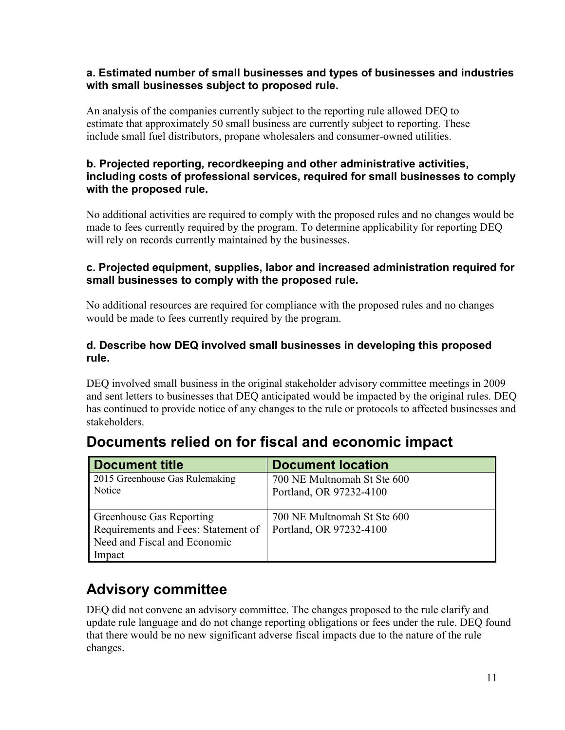#### **a. Estimated number of small businesses and types of businesses and industries with small businesses subject to proposed rule.**

An analysis of the companies currently subject to the reporting rule allowed DEQ to estimate that approximately 50 small business are currently subject to reporting. These include small fuel distributors, propane wholesalers and consumer-owned utilities.

#### **b. Projected reporting, recordkeeping and other administrative activities, including costs of professional services, required for small businesses to comply with the proposed rule.**

No additional activities are required to comply with the proposed rules and no changes would be made to fees currently required by the program. To determine applicability for reporting DEQ will rely on records currently maintained by the businesses.

### **c. Projected equipment, supplies, labor and increased administration required for small businesses to comply with the proposed rule.**

No additional resources are required for compliance with the proposed rules and no changes would be made to fees currently required by the program.

#### **d. Describe how DEQ involved small businesses in developing this proposed rule.**

DEQ involved small business in the original stakeholder advisory committee meetings in 2009 and sent letters to businesses that DEQ anticipated would be impacted by the original rules. DEQ has continued to provide notice of any changes to the rule or protocols to affected businesses and stakeholders.

| <b>Document title</b>               | <b>Document location</b>    |
|-------------------------------------|-----------------------------|
| 2015 Greenhouse Gas Rulemaking      | 700 NE Multnomah St Ste 600 |
| Notice                              | Portland, OR 97232-4100     |
| <b>Greenhouse Gas Reporting</b>     | 700 NE Multnomah St Ste 600 |
| Requirements and Fees: Statement of | Portland, OR 97232-4100     |
| Need and Fiscal and Economic        |                             |
| Impact                              |                             |

# **Documents relied on for fiscal and economic impact**

# **Advisory committee**

DEQ did not convene an advisory committee. The changes proposed to the rule clarify and update rule language and do not change reporting obligations or fees under the rule. DEQ found that there would be no new significant adverse fiscal impacts due to the nature of the rule changes.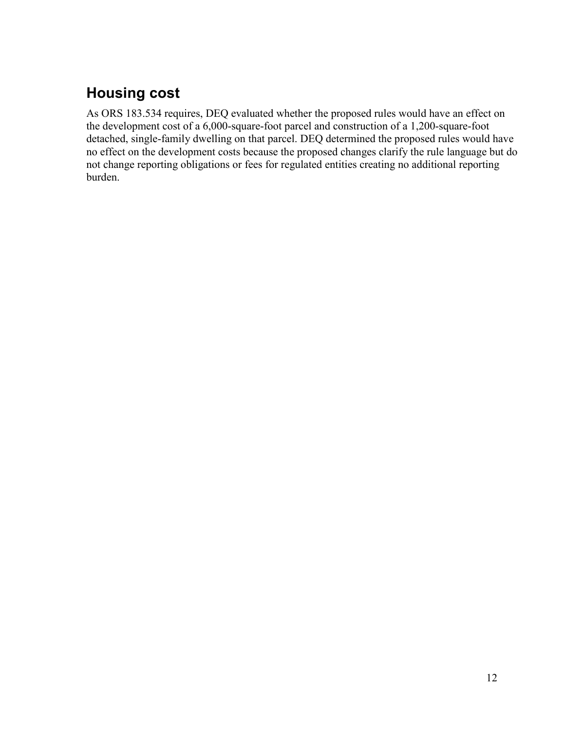# **Housing cost**

As ORS 183.534 requires, DEQ evaluated whether the proposed rules would have an effect on the development cost of a 6,000-square-foot parcel and construction of a 1,200-square-foot detached, single-family dwelling on that parcel. DEQ determined the proposed rules would have no effect on the development costs because the proposed changes clarify the rule language but do not change reporting obligations or fees for regulated entities creating no additional reporting burden.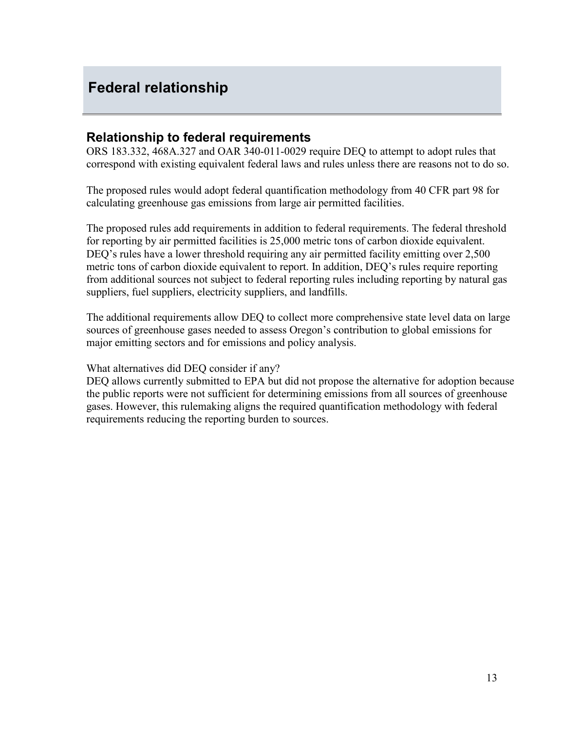## <span id="page-12-0"></span>**Federal relationship**

### **Relationship to federal requirements**

ORS 183.332, 468A.327 and OAR 340-011-0029 require DEQ to attempt to adopt rules that correspond with existing equivalent federal laws and rules unless there are reasons not to do so.

The proposed rules would adopt federal quantification methodology from 40 CFR part 98 for calculating greenhouse gas emissions from large air permitted facilities.

The proposed rules add requirements in addition to federal requirements. The federal threshold for reporting by air permitted facilities is 25,000 metric tons of carbon dioxide equivalent. DEQ's rules have a lower threshold requiring any air permitted facility emitting over 2,500 metric tons of carbon dioxide equivalent to report. In addition, DEQ's rules require reporting from additional sources not subject to federal reporting rules including reporting by natural gas suppliers, fuel suppliers, electricity suppliers, and landfills.

The additional requirements allow DEQ to collect more comprehensive state level data on large sources of greenhouse gases needed to assess Oregon's contribution to global emissions for major emitting sectors and for emissions and policy analysis.

What alternatives did DEQ consider if any?

DEQ allows currently submitted to EPA but did not propose the alternative for adoption because the public reports were not sufficient for determining emissions from all sources of greenhouse gases. However, this rulemaking aligns the required quantification methodology with federal requirements reducing the reporting burden to sources.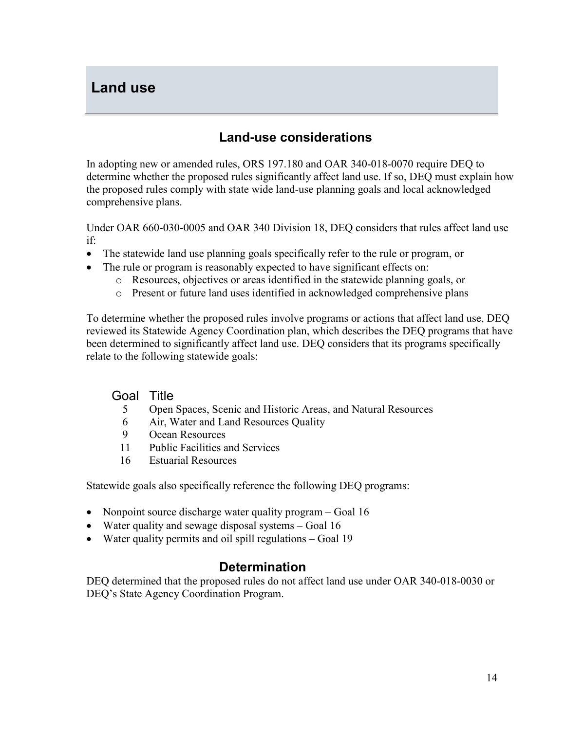## <span id="page-13-0"></span>**Land use**

## **Land-use considerations**

In adopting new or amended rules, ORS 197.180 and OAR 340-018-0070 require DEQ to determine whether the proposed rules significantly affect land use. If so, DEQ must explain how the proposed rules comply with state wide land-use planning goals and local acknowledged comprehensive plans.

Under OAR 660-030-0005 and OAR 340 Division 18, DEQ considers that rules affect land use if:

- The statewide land use planning goals specifically refer to the rule or program, or
- The rule or program is reasonably expected to have significant effects on:
	- o Resources, objectives or areas identified in the statewide planning goals, or
	- o Present or future land uses identified in acknowledged comprehensive plans

To determine whether the proposed rules involve programs or actions that affect land use, DEQ reviewed its Statewide Agency Coordination plan, which describes the DEQ programs that have been determined to significantly affect land use. DEQ considers that its programs specifically relate to the following statewide goals:

#### Goal Title

- 5 Open Spaces, Scenic and Historic Areas, and Natural Resources
- 6 Air, Water and Land Resources Quality
- 9 Ocean Resources
- 11 Public Facilities and Services
- 16 Estuarial Resources

Statewide goals also specifically reference the following DEQ programs:

- Nonpoint source discharge water quality program Goal 16
- Water quality and sewage disposal systems Goal 16
- Water quality permits and oil spill regulations Goal 19

## **Determination**

DEQ determined that the proposed rules do not affect land use under OAR 340-018-0030 or DEQ's State Agency Coordination Program.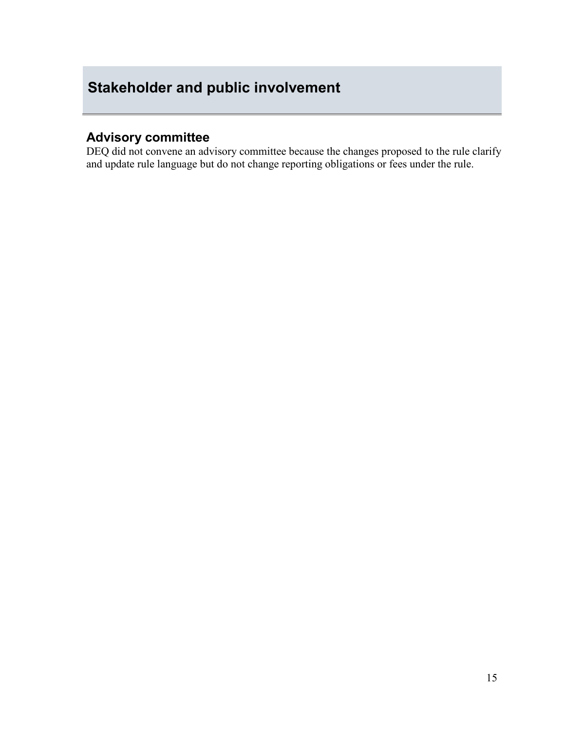# <span id="page-14-0"></span>**Stakeholder and public involvement**

## **Advisory committee**

DEQ did not convene an advisory committee because the changes proposed to the rule clarify and update rule language but do not change reporting obligations or fees under the rule.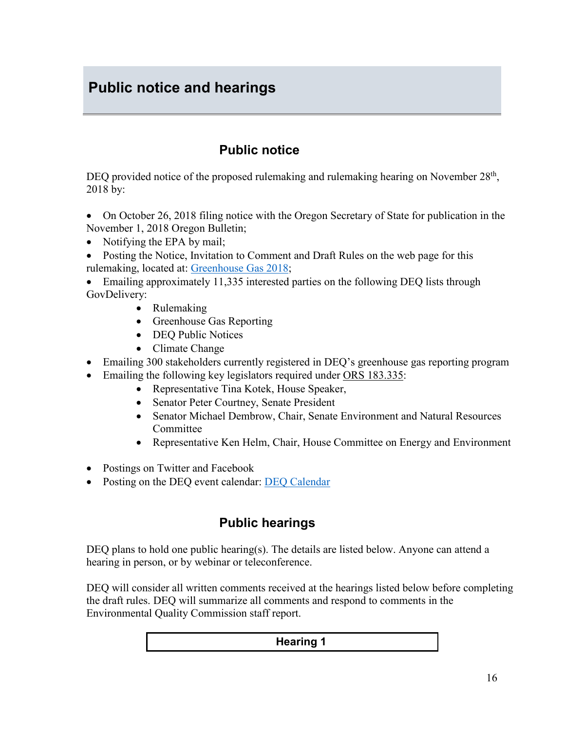# <span id="page-15-0"></span>**Public notice and hearings**

## **Public notice**

DEQ provided notice of the proposed rulemaking and rulemaking hearing on November  $28<sup>th</sup>$ , 2018 by:

- On October 26, 2018 filing notice with the Oregon Secretary of State for publication in the November 1, 2018 Oregon Bulletin;
- Notifying the EPA by mail;
- Posting the Notice, Invitation to Comment and Draft Rules on the web page for this rulemaking, located at: [Greenhouse Gas 2018;](https://www.oregon.gov/deq/Regulations/rulemaking/Pages/rGHG2018.aspx)

• Emailing approximately 11,335 interested parties on the following DEQ lists through GovDelivery:

- Rulemaking
- Greenhouse Gas Reporting
- DEQ Public Notices
- Climate Change
- Emailing 300 stakeholders currently registered in DEQ's greenhouse gas reporting program
- Emailing the following key legislators required under [ORS 183.335:](http://www.leg.state.or.us/ors/183.html)
	- Representative Tina Kotek, House Speaker,
	- Senator Peter Courtney, Senate President
	- Senator Michael Dembrow, Chair, Senate Environment and Natural Resources **Committee**
	- Representative Ken Helm, Chair, House Committee on Energy and Environment
- Postings on Twitter and Facebook
- Posting on the DEQ event calendar: [DEQ Calendar](http://oregon.gov/deq/Pages/Events.aspx)

## **Public hearings**

DEQ plans to hold one public hearing(s). The details are listed below. Anyone can attend a hearing in person, or by webinar or teleconference.

DEQ will consider all written comments received at the hearings listed below before completing the draft rules. DEQ will summarize all comments and respond to comments in the Environmental Quality Commission staff report.

#### **Hearing 1**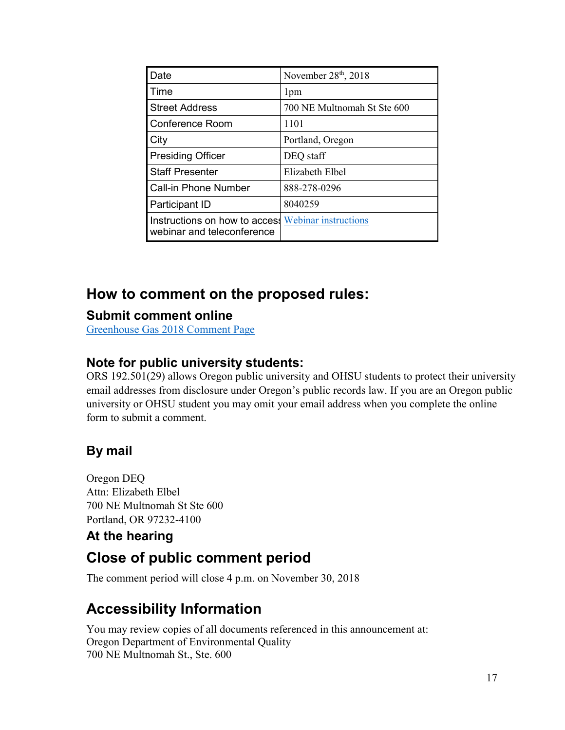| Date                                                                             | November 28th, 2018         |
|----------------------------------------------------------------------------------|-----------------------------|
| Time                                                                             | 1 <sub>pm</sub>             |
| <b>Street Address</b>                                                            | 700 NE Multnomah St Ste 600 |
| Conference Room                                                                  | 1101                        |
| <b>City</b>                                                                      | Portland, Oregon            |
| <b>Presiding Officer</b>                                                         | DEQ staff                   |
| <b>Staff Presenter</b>                                                           | Elizabeth Elbel             |
| <b>Call-in Phone Number</b>                                                      | 888-278-0296                |
| <b>Participant ID</b>                                                            | 8040259                     |
| Instructions on how to access Webinar instructions<br>webinar and teleconference |                             |

# **How to comment on the proposed rules:**

## **Submit comment online**

[Greenhouse Gas 2018 Comment Page](http://www.oregon.gov/deq/RulesandRegulations/Pages/comments/CGHG2018.aspx)

## **Note for public university students:**

ORS 192.501(29) allows Oregon public university and OHSU students to protect their university email addresses from disclosure under Oregon's public records law. If you are an Oregon public university or OHSU student you may omit your email address when you complete the online form to submit a comment.

## **By mail**

Oregon DEQ Attn: Elizabeth Elbel 700 NE Multnomah St Ste 600 Portland, OR 97232-4100

## **At the hearing**

# **Close of public comment period**

The comment period will close 4 p.m. on November 30, 2018

# **Accessibility Information**

You may review copies of all documents referenced in this announcement at: Oregon Department of Environmental Quality 700 NE Multnomah St., Ste. 600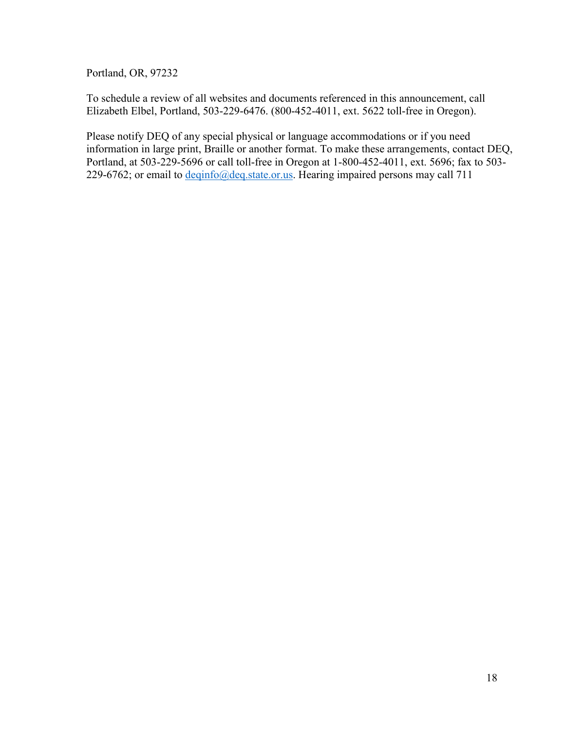Portland, OR, 97232

To schedule a review of all websites and documents referenced in this announcement, call Elizabeth Elbel, Portland, 503-229-6476. (800-452-4011, ext. 5622 toll-free in Oregon).

Please notify DEQ of any special physical or language accommodations or if you need information in large print, Braille or another format. To make these arrangements, contact DEQ, Portland, at 503-229-5696 or call toll-free in Oregon at 1-800-452-4011, ext. 5696; fax to 503- 229-6762; or email to  $\frac{deqinfo(\omega) \text{deg.state. or.}}{\text{data.}$  Hearing impaired persons may call 711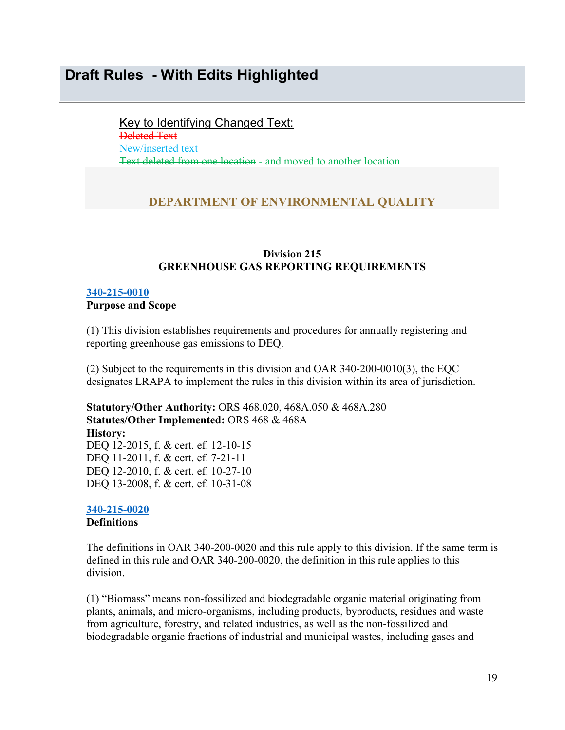## <span id="page-18-0"></span>**Draft Rules - With Edits Highlighted**

Key to Identifying Changed Text: Deleted Text New/inserted text Text deleted from one location - and moved to another location

#### **DEPARTMENT OF ENVIRONMENTAL QUALITY**

#### **Division 215 GREENHOUSE GAS REPORTING REQUIREMENTS**

#### **[340-215-0010](https://secure.sos.state.or.us/oard/viewSingleRule.action?ruleVrsnRsn=73180)**

#### **Purpose and Scope**

(1) This division establishes requirements and procedures for annually registering and reporting greenhouse gas emissions to DEQ.

(2) Subject to the requirements in this division and OAR 340-200-0010(3), the EQC designates LRAPA to implement the rules in this division within its area of jurisdiction.

**Statutory/Other Authority:** ORS 468.020, 468A.050 & 468A.280 **Statutes/Other Implemented:** ORS 468 & 468A **History:** DEQ 12-2015, f. & cert. ef. 12-10-15 DEQ 11-2011, f. & cert. ef. 7-21-11 DEQ 12-2010, f. & cert. ef. 10-27-10 DEQ 13-2008, f. & cert. ef. 10-31-08

#### **[340-215-0020](https://secure.sos.state.or.us/oard/viewSingleRule.action?ruleVrsnRsn=73184) Definitions**

The definitions in OAR 340-200-0020 and this rule apply to this division. If the same term is defined in this rule and OAR 340-200-0020, the definition in this rule applies to this division.

(1) "Biomass" means non-fossilized and biodegradable organic material originating from plants, animals, and micro-organisms, including products, byproducts, residues and waste from agriculture, forestry, and related industries, as well as the non-fossilized and biodegradable organic fractions of industrial and municipal wastes, including gases and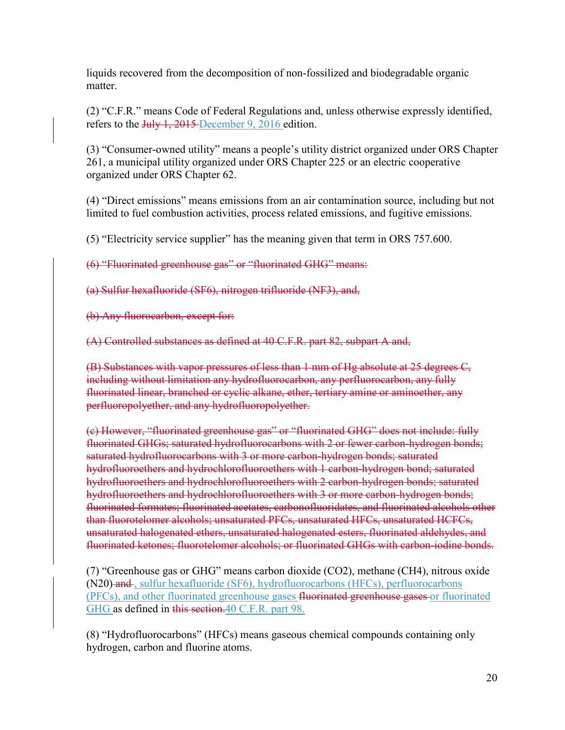liquids recovered from the decomposition of non-fossilized and biodegradable organic matter.

(2) "C.F.R." means Code of Federal Regulations and, unless otherwise expressly identified, refers to the July 1, 2015 December 9, 2016 edition.

(3) "Consumer-owned utility" means a people's utility district organized under ORS Chapter 261, a municipal utility organized under ORS Chapter 225 or an electric cooperative organized under ORS Chapter 62.

(4) "Direct emissions" means emissions from an air contamination source, including but not limited to fuel combustion activities, process related emissions, and fugitive emissions.

(5) "Electricity service supplier" has the meaning given that term in ORS 757.600.

(6) "Fluorinated greenhouse gas" or "fluorinated GHG" means:

(a) Sulfur hexafluoride (SF6), nitrogen trifluoride (NF3), and,

(b) Any fluorocarbon, except for:

(A) Controlled substances as defined at 40 C.F.R. part 82, subpart A and,

(B) Substances with vapor pressures of less than 1 mm of Hg absolute at 25 degrees C, including without limitation any hydrofluorocarbon, any perfluorocarbon, any fully fluorinated linear, branched or cyclic alkane, ether, tertiary amine or aminoether, any perfluoropolyether, and any hydrofluoropolyether.

(c) However, "fluorinated greenhouse gas" or "fluorinated GHG" does not include: fully fluorinated GHGs; saturated hydrofluorocarbons with 2 or fewer carbon-hydrogen bonds; saturated hydrofluorocarbons with 3 or more carbon-hydrogen bonds; saturated hydrofluoroethers and hydrochlorofluoroethers with 1 carbon-hydrogen bond; saturated hydrofluoroethers and hydrochlorofluoroethers with 2 carbon-hydrogen bonds; saturated hydrofluoroethers and hydrochlorofluoroethers with 3 or more carbon-hydrogen bonds; fluorinated formates; fluorinated acetates, carbonofluoridates, and fluorinated alcohols other than fluorotelomer alcohols; unsaturated PFCs, unsaturated HFCs, unsaturated HCFCs, unsaturated halogenated ethers, unsaturated halogenated esters, fluorinated aldehydes, and fluorinated ketones; fluorotelomer alcohols; or fluorinated GHGs with carbon-iodine bonds.

(7) "Greenhouse gas or GHG" means carbon dioxide (CO2), methane (CH4), nitrous oxide (N20) and, sulfur hexafluoride (SF6), hydrofluorocarbons (HFCs), perfluorocarbons (PFCs), and other fluorinated greenhouse gases fluorinated greenhouse gases or fluorinated GHG as defined in this section. 40 C.F.R. part 98.

(8) "Hydrofluorocarbons" (HFCs) means gaseous chemical compounds containing only hydrogen, carbon and fluorine atoms.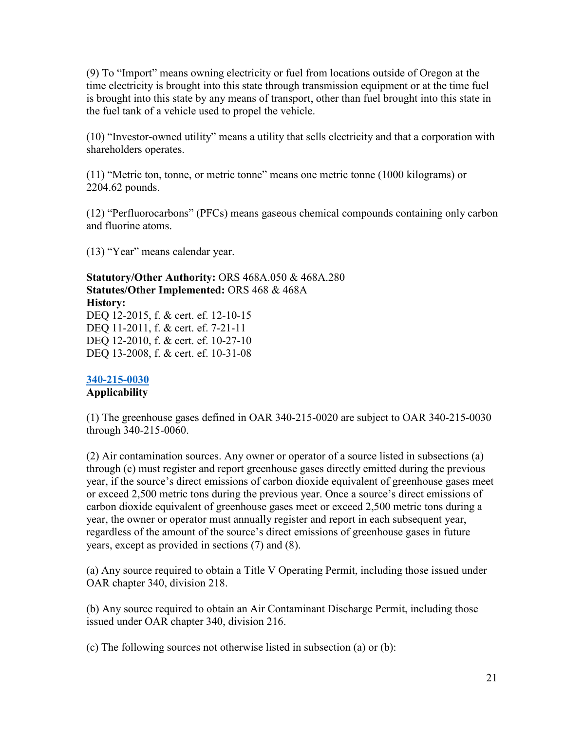(9) To "Import" means owning electricity or fuel from locations outside of Oregon at the time electricity is brought into this state through transmission equipment or at the time fuel is brought into this state by any means of transport, other than fuel brought into this state in the fuel tank of a vehicle used to propel the vehicle.

(10) "Investor-owned utility" means a utility that sells electricity and that a corporation with shareholders operates.

(11) "Metric ton, tonne, or metric tonne" means one metric tonne (1000 kilograms) or 2204.62 pounds.

(12) "Perfluorocarbons" (PFCs) means gaseous chemical compounds containing only carbon and fluorine atoms.

(13) "Year" means calendar year.

**Statutory/Other Authority:** ORS 468A.050 & 468A.280 **Statutes/Other Implemented:** ORS 468 & 468A **History:** DEO 12-2015, f. & cert. ef. 12-10-15 DEQ 11-2011, f. & cert. ef. 7-21-11

DEQ 12-2010, f. & cert. ef. 10-27-10 DEQ 13-2008, f. & cert. ef. 10-31-08

#### **[340-215-0030](https://secure.sos.state.or.us/oard/viewSingleRule.action?ruleVrsnRsn=73188)**

#### **Applicability**

(1) The greenhouse gases defined in OAR 340-215-0020 are subject to OAR 340-215-0030 through 340-215-0060.

(2) Air contamination sources. Any owner or operator of a source listed in subsections (a) through (c) must register and report greenhouse gases directly emitted during the previous year, if the source's direct emissions of carbon dioxide equivalent of greenhouse gases meet or exceed 2,500 metric tons during the previous year. Once a source's direct emissions of carbon dioxide equivalent of greenhouse gases meet or exceed 2,500 metric tons during a year, the owner or operator must annually register and report in each subsequent year, regardless of the amount of the source's direct emissions of greenhouse gases in future years, except as provided in sections (7) and (8).

(a) Any source required to obtain a Title V Operating Permit, including those issued under OAR chapter 340, division 218.

(b) Any source required to obtain an Air Contaminant Discharge Permit, including those issued under OAR chapter 340, division 216.

(c) The following sources not otherwise listed in subsection (a) or (b):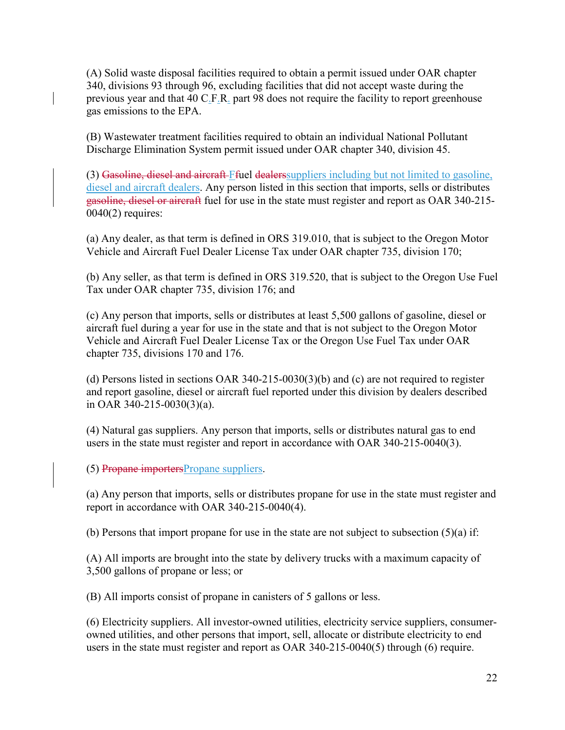(A) Solid waste disposal facilities required to obtain a permit issued under OAR chapter 340, divisions 93 through 96, excluding facilities that did not accept waste during the previous year and that 40 C.F.R. part 98 does not require the facility to report greenhouse gas emissions to the EPA.

(B) Wastewater treatment facilities required to obtain an individual National Pollutant Discharge Elimination System permit issued under OAR chapter 340, division 45.

(3) Gasoline, diesel and aircraft Ffuel dealers suppliers including but not limited to gasoline, diesel and aircraft dealers. Any person listed in this section that imports, sells or distributes gasoline, diesel or aircraft fuel for use in the state must register and report as OAR 340-215-  $0040(2)$  requires:

(a) Any dealer, as that term is defined in ORS 319.010, that is subject to the Oregon Motor Vehicle and Aircraft Fuel Dealer License Tax under OAR chapter 735, division 170;

(b) Any seller, as that term is defined in ORS 319.520, that is subject to the Oregon Use Fuel Tax under OAR chapter 735, division 176; and

(c) Any person that imports, sells or distributes at least 5,500 gallons of gasoline, diesel or aircraft fuel during a year for use in the state and that is not subject to the Oregon Motor Vehicle and Aircraft Fuel Dealer License Tax or the Oregon Use Fuel Tax under OAR chapter 735, divisions 170 and 176.

(d) Persons listed in sections OAR 340-215-0030(3)(b) and (c) are not required to register and report gasoline, diesel or aircraft fuel reported under this division by dealers described in OAR 340-215-0030(3)(a).

(4) Natural gas suppliers. Any person that imports, sells or distributes natural gas to end users in the state must register and report in accordance with OAR 340-215-0040(3).

(5) Propane importersPropane suppliers.

(a) Any person that imports, sells or distributes propane for use in the state must register and report in accordance with OAR 340-215-0040(4).

(b) Persons that import propane for use in the state are not subject to subsection (5)(a) if:

(A) All imports are brought into the state by delivery trucks with a maximum capacity of 3,500 gallons of propane or less; or

(B) All imports consist of propane in canisters of 5 gallons or less.

(6) Electricity suppliers. All investor-owned utilities, electricity service suppliers, consumerowned utilities, and other persons that import, sell, allocate or distribute electricity to end users in the state must register and report as OAR 340-215-0040(5) through (6) require.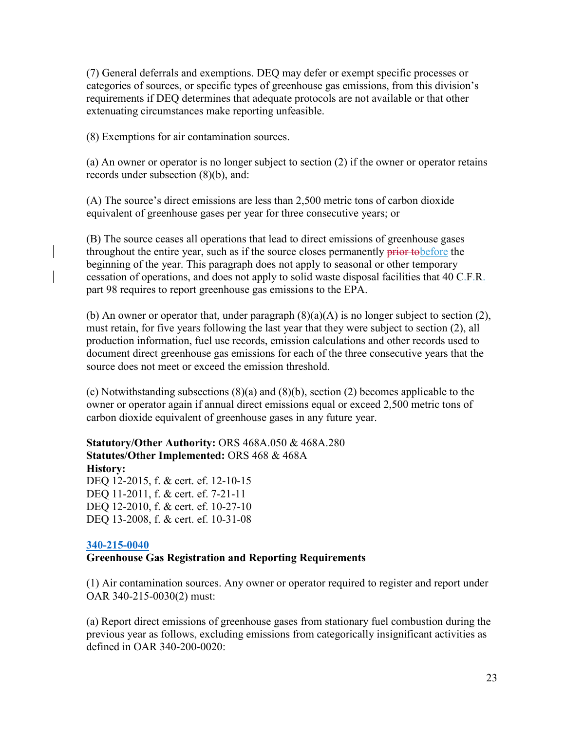(7) General deferrals and exemptions. DEQ may defer or exempt specific processes or categories of sources, or specific types of greenhouse gas emissions, from this division's requirements if DEQ determines that adequate protocols are not available or that other extenuating circumstances make reporting unfeasible.

(8) Exemptions for air contamination sources.

(a) An owner or operator is no longer subject to section (2) if the owner or operator retains records under subsection (8)(b), and:

(A) The source's direct emissions are less than 2,500 metric tons of carbon dioxide equivalent of greenhouse gases per year for three consecutive years; or

(B) The source ceases all operations that lead to direct emissions of greenhouse gases throughout the entire year, such as if the source closes permanently prior to before the beginning of the year. This paragraph does not apply to seasonal or other temporary cessation of operations, and does not apply to solid waste disposal facilities that 40 C.F.R. part 98 requires to report greenhouse gas emissions to the EPA.

(b) An owner or operator that, under paragraph  $(8)(a)(A)$  is no longer subject to section (2), must retain, for five years following the last year that they were subject to section (2), all production information, fuel use records, emission calculations and other records used to document direct greenhouse gas emissions for each of the three consecutive years that the source does not meet or exceed the emission threshold.

(c) Notwithstanding subsections (8)(a) and (8)(b), section (2) becomes applicable to the owner or operator again if annual direct emissions equal or exceed 2,500 metric tons of carbon dioxide equivalent of greenhouse gases in any future year.

**Statutory/Other Authority:** ORS 468A.050 & 468A.280 **Statutes/Other Implemented:** ORS 468 & 468A **History:** DEQ 12-2015, f. & cert. ef. 12-10-15 DEQ 11-2011, f. & cert. ef. 7-21-11 DEQ 12-2010, f. & cert. ef. 10-27-10 DEQ 13-2008, f. & cert. ef. 10-31-08

#### **[340-215-0040](https://secure.sos.state.or.us/oard/viewSingleRule.action?ruleVrsnRsn=73192)**

#### **Greenhouse Gas Registration and Reporting Requirements**

(1) Air contamination sources. Any owner or operator required to register and report under OAR 340-215-0030(2) must:

(a) Report direct emissions of greenhouse gases from stationary fuel combustion during the previous year as follows, excluding emissions from categorically insignificant activities as defined in OAR 340-200-0020: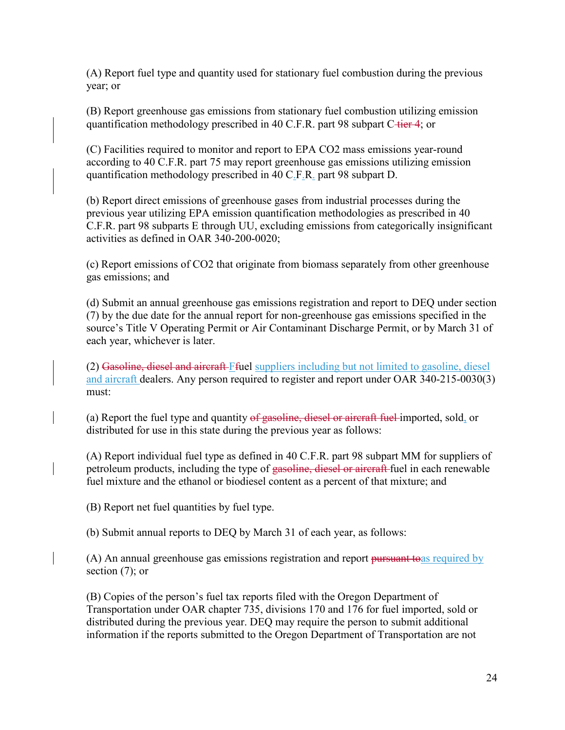(A) Report fuel type and quantity used for stationary fuel combustion during the previous year; or

(B) Report greenhouse gas emissions from stationary fuel combustion utilizing emission quantification methodology prescribed in 40 C.F.R. part 98 subpart C-tier 4; or

(C) Facilities required to monitor and report to EPA CO2 mass emissions year-round according to 40 C.F.R. part 75 may report greenhouse gas emissions utilizing emission quantification methodology prescribed in 40 C.F.R. part 98 subpart D.

(b) Report direct emissions of greenhouse gases from industrial processes during the previous year utilizing EPA emission quantification methodologies as prescribed in 40 C.F.R. part 98 subparts E through UU, excluding emissions from categorically insignificant activities as defined in OAR 340-200-0020;

(c) Report emissions of CO2 that originate from biomass separately from other greenhouse gas emissions; and

(d) Submit an annual greenhouse gas emissions registration and report to DEQ under section (7) by the due date for the annual report for non-greenhouse gas emissions specified in the source's Title V Operating Permit or Air Contaminant Discharge Permit, or by March 31 of each year, whichever is later.

(2) Gasoline, diesel and aircraft Ffuel suppliers including but not limited to gasoline, diesel and aircraft dealers. Any person required to register and report under OAR 340-215-0030(3) must:

(a) Report the fuel type and quantity of gasoline, diesel or aircraft fuel imported, sold, or distributed for use in this state during the previous year as follows:

(A) Report individual fuel type as defined in 40 C.F.R. part 98 subpart MM for suppliers of petroleum products, including the type of gasoline, diesel or aircraft fuel in each renewable fuel mixture and the ethanol or biodiesel content as a percent of that mixture; and

(B) Report net fuel quantities by fuel type.

(b) Submit annual reports to DEQ by March 31 of each year, as follows:

(A) An annual greenhouse gas emissions registration and report pursuant to as required by section (7); or

(B) Copies of the person's fuel tax reports filed with the Oregon Department of Transportation under OAR chapter 735, divisions 170 and 176 for fuel imported, sold or distributed during the previous year. DEQ may require the person to submit additional information if the reports submitted to the Oregon Department of Transportation are not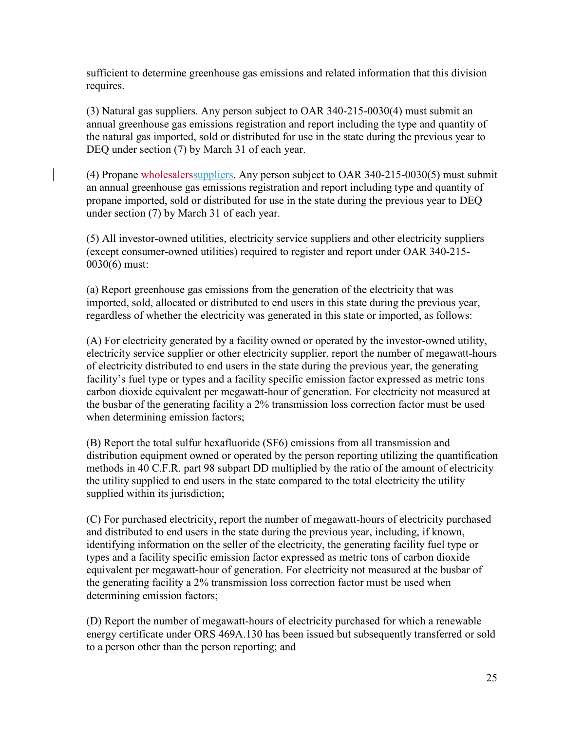sufficient to determine greenhouse gas emissions and related information that this division requires.

(3) Natural gas suppliers. Any person subject to OAR 340-215-0030(4) must submit an annual greenhouse gas emissions registration and report including the type and quantity of the natural gas imported, sold or distributed for use in the state during the previous year to DEQ under section (7) by March 31 of each year.

(4) Propane wholesalerssuppliers. Any person subject to OAR 340-215-0030(5) must submit an annual greenhouse gas emissions registration and report including type and quantity of propane imported, sold or distributed for use in the state during the previous year to DEQ under section (7) by March 31 of each year.

(5) All investor-owned utilities, electricity service suppliers and other electricity suppliers (except consumer-owned utilities) required to register and report under OAR 340-215- 0030(6) must:

(a) Report greenhouse gas emissions from the generation of the electricity that was imported, sold, allocated or distributed to end users in this state during the previous year, regardless of whether the electricity was generated in this state or imported, as follows:

(A) For electricity generated by a facility owned or operated by the investor-owned utility, electricity service supplier or other electricity supplier, report the number of megawatt-hours of electricity distributed to end users in the state during the previous year, the generating facility's fuel type or types and a facility specific emission factor expressed as metric tons carbon dioxide equivalent per megawatt-hour of generation. For electricity not measured at the busbar of the generating facility a 2% transmission loss correction factor must be used when determining emission factors;

(B) Report the total sulfur hexafluoride (SF6) emissions from all transmission and distribution equipment owned or operated by the person reporting utilizing the quantification methods in 40 C.F.R. part 98 subpart DD multiplied by the ratio of the amount of electricity the utility supplied to end users in the state compared to the total electricity the utility supplied within its jurisdiction;

(C) For purchased electricity, report the number of megawatt-hours of electricity purchased and distributed to end users in the state during the previous year, including, if known, identifying information on the seller of the electricity, the generating facility fuel type or types and a facility specific emission factor expressed as metric tons of carbon dioxide equivalent per megawatt-hour of generation. For electricity not measured at the busbar of the generating facility a 2% transmission loss correction factor must be used when determining emission factors;

(D) Report the number of megawatt-hours of electricity purchased for which a renewable energy certificate under ORS 469A.130 has been issued but subsequently transferred or sold to a person other than the person reporting; and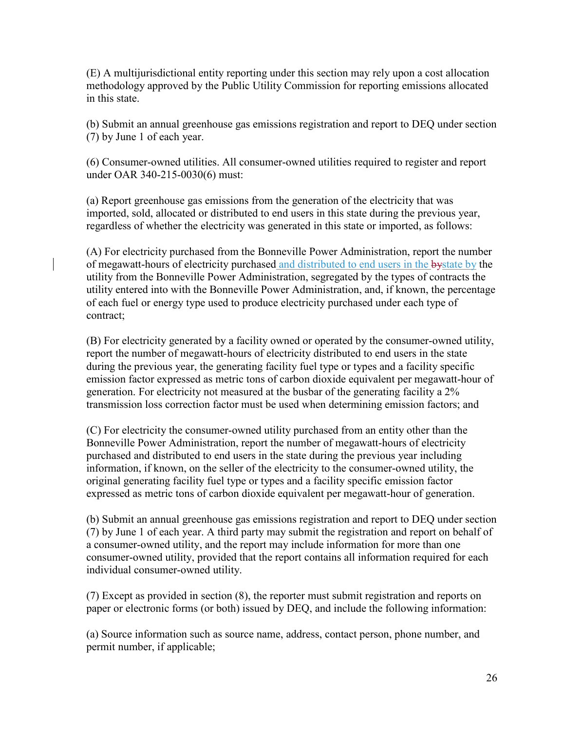(E) A multijurisdictional entity reporting under this section may rely upon a cost allocation methodology approved by the Public Utility Commission for reporting emissions allocated in this state.

(b) Submit an annual greenhouse gas emissions registration and report to DEQ under section (7) by June 1 of each year.

(6) Consumer-owned utilities. All consumer-owned utilities required to register and report under OAR 340-215-0030(6) must:

(a) Report greenhouse gas emissions from the generation of the electricity that was imported, sold, allocated or distributed to end users in this state during the previous year, regardless of whether the electricity was generated in this state or imported, as follows:

(A) For electricity purchased from the Bonneville Power Administration, report the number of megawatt-hours of electricity purchased and distributed to end users in the bystate by the utility from the Bonneville Power Administration, segregated by the types of contracts the utility entered into with the Bonneville Power Administration, and, if known, the percentage of each fuel or energy type used to produce electricity purchased under each type of contract;

(B) For electricity generated by a facility owned or operated by the consumer-owned utility, report the number of megawatt-hours of electricity distributed to end users in the state during the previous year, the generating facility fuel type or types and a facility specific emission factor expressed as metric tons of carbon dioxide equivalent per megawatt-hour of generation. For electricity not measured at the busbar of the generating facility a 2% transmission loss correction factor must be used when determining emission factors; and

(C) For electricity the consumer-owned utility purchased from an entity other than the Bonneville Power Administration, report the number of megawatt-hours of electricity purchased and distributed to end users in the state during the previous year including information, if known, on the seller of the electricity to the consumer-owned utility, the original generating facility fuel type or types and a facility specific emission factor expressed as metric tons of carbon dioxide equivalent per megawatt-hour of generation.

(b) Submit an annual greenhouse gas emissions registration and report to DEQ under section (7) by June 1 of each year. A third party may submit the registration and report on behalf of a consumer-owned utility, and the report may include information for more than one consumer-owned utility, provided that the report contains all information required for each individual consumer-owned utility.

(7) Except as provided in section (8), the reporter must submit registration and reports on paper or electronic forms (or both) issued by DEQ, and include the following information:

(a) Source information such as source name, address, contact person, phone number, and permit number, if applicable;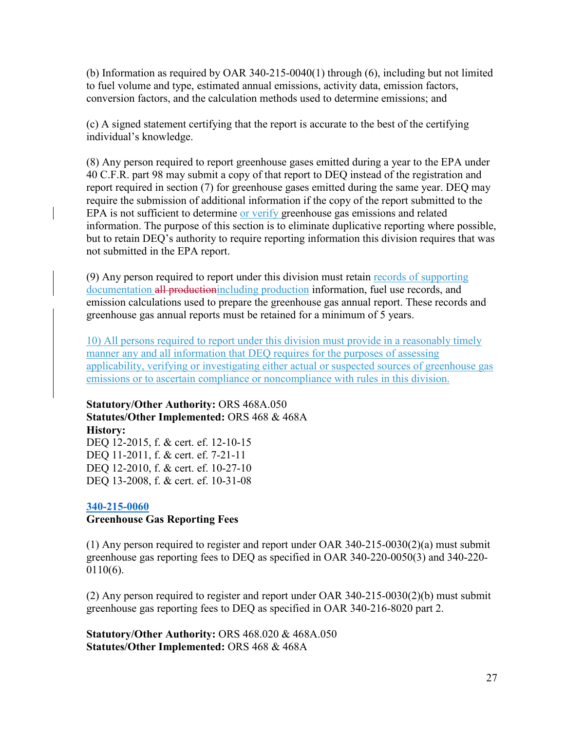(b) Information as required by OAR 340-215-0040(1) through (6), including but not limited to fuel volume and type, estimated annual emissions, activity data, emission factors, conversion factors, and the calculation methods used to determine emissions; and

(c) A signed statement certifying that the report is accurate to the best of the certifying individual's knowledge.

(8) Any person required to report greenhouse gases emitted during a year to the EPA under 40 C.F.R. part 98 may submit a copy of that report to DEQ instead of the registration and report required in section (7) for greenhouse gases emitted during the same year. DEQ may require the submission of additional information if the copy of the report submitted to the EPA is not sufficient to determine or verify greenhouse gas emissions and related information. The purpose of this section is to eliminate duplicative reporting where possible, but to retain DEQ's authority to require reporting information this division requires that was not submitted in the EPA report.

(9) Any person required to report under this division must retain records of supporting documentation all productionincluding production information, fuel use records, and emission calculations used to prepare the greenhouse gas annual report. These records and greenhouse gas annual reports must be retained for a minimum of 5 years.

10) All persons required to report under this division must provide in a reasonably timely manner any and all information that DEQ requires for the purposes of assessing applicability, verifying or investigating either actual or suspected sources of greenhouse gas emissions or to ascertain compliance or noncompliance with rules in this division.

**Statutory/Other Authority:** ORS 468A.050 **Statutes/Other Implemented:** ORS 468 & 468A **History:** DEQ 12-2015, f. & cert. ef. 12-10-15 DEQ 11-2011, f. & cert. ef. 7-21-11 DEQ 12-2010, f. & cert. ef. 10-27-10 DEQ 13-2008, f. & cert. ef. 10-31-08

#### **[340-215-0060](https://secure.sos.state.or.us/oard/viewSingleRule.action?ruleVrsnRsn=73197) Greenhouse Gas Reporting Fees**

(1) Any person required to register and report under OAR 340-215-0030(2)(a) must submit greenhouse gas reporting fees to DEQ as specified in OAR 340-220-0050(3) and 340-220- 0110(6).

(2) Any person required to register and report under OAR 340-215-0030(2)(b) must submit greenhouse gas reporting fees to DEQ as specified in OAR 340-216-8020 part 2.

**Statutory/Other Authority:** ORS 468.020 & 468A.050 **Statutes/Other Implemented:** ORS 468 & 468A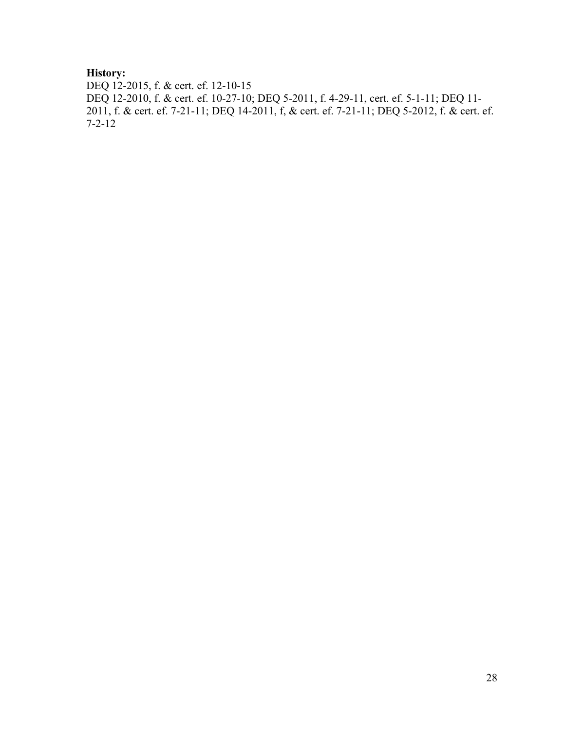## **History:**

DEQ 12-2015, f. & cert. ef. 12-10-15 DEQ 12-2010, f. & cert. ef. 10-27-10; DEQ 5-2011, f. 4-29-11, cert. ef. 5-1-11; DEQ 11- 2011, f. & cert. ef. 7-21-11; DEQ 14-2011, f, & cert. ef. 7-21-11; DEQ 5-2012, f. & cert. ef. 7-2-12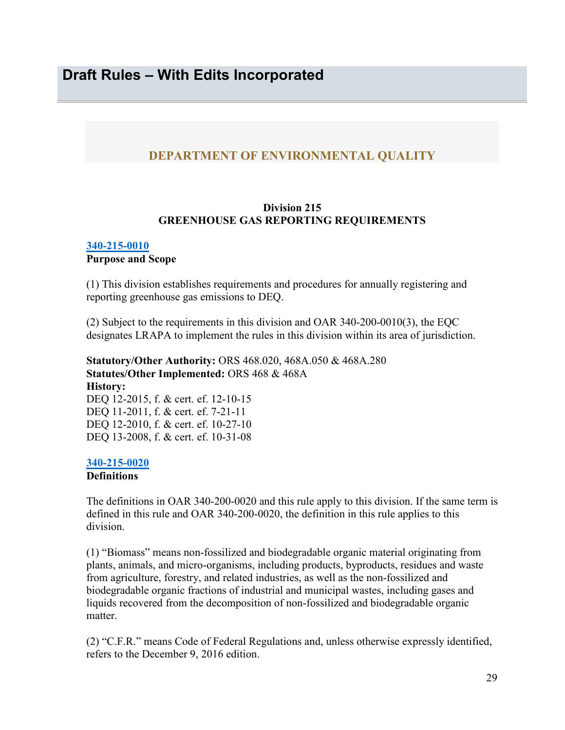### <span id="page-28-0"></span>**DEPARTMENT OF ENVIRONMENTAL QUALITY**

#### **Division 215 GREENHOUSE GAS REPORTING REQUIREMENTS**

#### **[340-215-0010](https://secure.sos.state.or.us/oard/viewSingleRule.action?ruleVrsnRsn=73180)**

#### **Purpose and Scope**

(1) This division establishes requirements and procedures for annually registering and reporting greenhouse gas emissions to DEQ.

(2) Subject to the requirements in this division and OAR 340-200-0010(3), the EQC designates LRAPA to implement the rules in this division within its area of jurisdiction.

**Statutory/Other Authority:** ORS 468.020, 468A.050 & 468A.280 **Statutes/Other Implemented:** ORS 468 & 468A **History:** DEQ 12-2015, f. & cert. ef. 12-10-15 DEQ 11-2011, f. & cert. ef. 7-21-11 DEQ 12-2010, f. & cert. ef. 10-27-10 DEQ 13-2008, f. & cert. ef. 10-31-08

#### **[340-215-0020](https://secure.sos.state.or.us/oard/viewSingleRule.action?ruleVrsnRsn=73184)**

**Definitions** 

The definitions in OAR 340-200-0020 and this rule apply to this division. If the same term is defined in this rule and OAR 340-200-0020, the definition in this rule applies to this division.

(1) "Biomass" means non-fossilized and biodegradable organic material originating from plants, animals, and micro-organisms, including products, byproducts, residues and waste from agriculture, forestry, and related industries, as well as the non-fossilized and biodegradable organic fractions of industrial and municipal wastes, including gases and liquids recovered from the decomposition of non-fossilized and biodegradable organic matter.

(2) "C.F.R." means Code of Federal Regulations and, unless otherwise expressly identified, refers to the December 9, 2016 edition.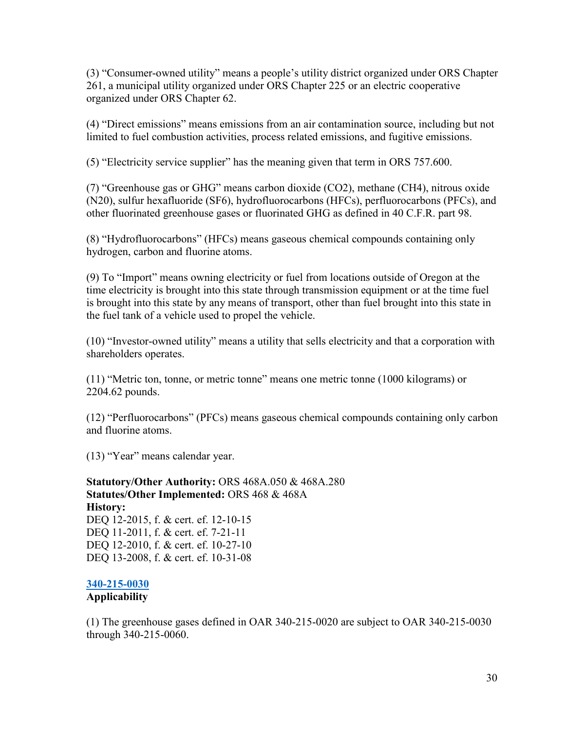(3) "Consumer-owned utility" means a people's utility district organized under ORS Chapter 261, a municipal utility organized under ORS Chapter 225 or an electric cooperative organized under ORS Chapter 62.

(4) "Direct emissions" means emissions from an air contamination source, including but not limited to fuel combustion activities, process related emissions, and fugitive emissions.

(5) "Electricity service supplier" has the meaning given that term in ORS 757.600.

(7) "Greenhouse gas or GHG" means carbon dioxide (CO2), methane (CH4), nitrous oxide (N20), sulfur hexafluoride (SF6), hydrofluorocarbons (HFCs), perfluorocarbons (PFCs), and other fluorinated greenhouse gases or fluorinated GHG as defined in 40 C.F.R. part 98.

(8) "Hydrofluorocarbons" (HFCs) means gaseous chemical compounds containing only hydrogen, carbon and fluorine atoms.

(9) To "Import" means owning electricity or fuel from locations outside of Oregon at the time electricity is brought into this state through transmission equipment or at the time fuel is brought into this state by any means of transport, other than fuel brought into this state in the fuel tank of a vehicle used to propel the vehicle.

(10) "Investor-owned utility" means a utility that sells electricity and that a corporation with shareholders operates.

(11) "Metric ton, tonne, or metric tonne" means one metric tonne (1000 kilograms) or 2204.62 pounds.

(12) "Perfluorocarbons" (PFCs) means gaseous chemical compounds containing only carbon and fluorine atoms.

(13) "Year" means calendar year.

**Statutory/Other Authority:** ORS 468A.050 & 468A.280 **Statutes/Other Implemented:** ORS 468 & 468A **History:** DEQ 12-2015, f. & cert. ef. 12-10-15 DEQ 11-2011, f. & cert. ef. 7-21-11 DEQ 12-2010, f. & cert. ef. 10-27-10 DEQ 13-2008, f. & cert. ef. 10-31-08

### **[340-215-0030](https://secure.sos.state.or.us/oard/viewSingleRule.action?ruleVrsnRsn=73188)**

#### **Applicability**

(1) The greenhouse gases defined in OAR 340-215-0020 are subject to OAR 340-215-0030 through 340-215-0060.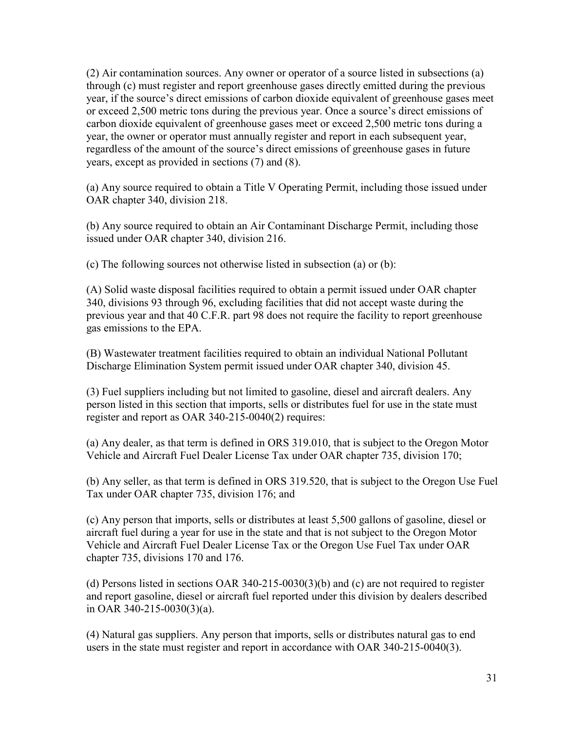(2) Air contamination sources. Any owner or operator of a source listed in subsections (a) through (c) must register and report greenhouse gases directly emitted during the previous year, if the source's direct emissions of carbon dioxide equivalent of greenhouse gases meet or exceed 2,500 metric tons during the previous year. Once a source's direct emissions of carbon dioxide equivalent of greenhouse gases meet or exceed 2,500 metric tons during a year, the owner or operator must annually register and report in each subsequent year, regardless of the amount of the source's direct emissions of greenhouse gases in future years, except as provided in sections (7) and (8).

(a) Any source required to obtain a Title V Operating Permit, including those issued under OAR chapter 340, division 218.

(b) Any source required to obtain an Air Contaminant Discharge Permit, including those issued under OAR chapter 340, division 216.

(c) The following sources not otherwise listed in subsection (a) or (b):

(A) Solid waste disposal facilities required to obtain a permit issued under OAR chapter 340, divisions 93 through 96, excluding facilities that did not accept waste during the previous year and that 40 C.F.R. part 98 does not require the facility to report greenhouse gas emissions to the EPA.

(B) Wastewater treatment facilities required to obtain an individual National Pollutant Discharge Elimination System permit issued under OAR chapter 340, division 45.

(3) Fuel suppliers including but not limited to gasoline, diesel and aircraft dealers. Any person listed in this section that imports, sells or distributes fuel for use in the state must register and report as OAR 340-215-0040(2) requires:

(a) Any dealer, as that term is defined in ORS 319.010, that is subject to the Oregon Motor Vehicle and Aircraft Fuel Dealer License Tax under OAR chapter 735, division 170;

(b) Any seller, as that term is defined in ORS 319.520, that is subject to the Oregon Use Fuel Tax under OAR chapter 735, division 176; and

(c) Any person that imports, sells or distributes at least 5,500 gallons of gasoline, diesel or aircraft fuel during a year for use in the state and that is not subject to the Oregon Motor Vehicle and Aircraft Fuel Dealer License Tax or the Oregon Use Fuel Tax under OAR chapter 735, divisions 170 and 176.

(d) Persons listed in sections OAR 340-215-0030(3)(b) and (c) are not required to register and report gasoline, diesel or aircraft fuel reported under this division by dealers described in OAR 340-215-0030(3)(a).

(4) Natural gas suppliers. Any person that imports, sells or distributes natural gas to end users in the state must register and report in accordance with OAR 340-215-0040(3).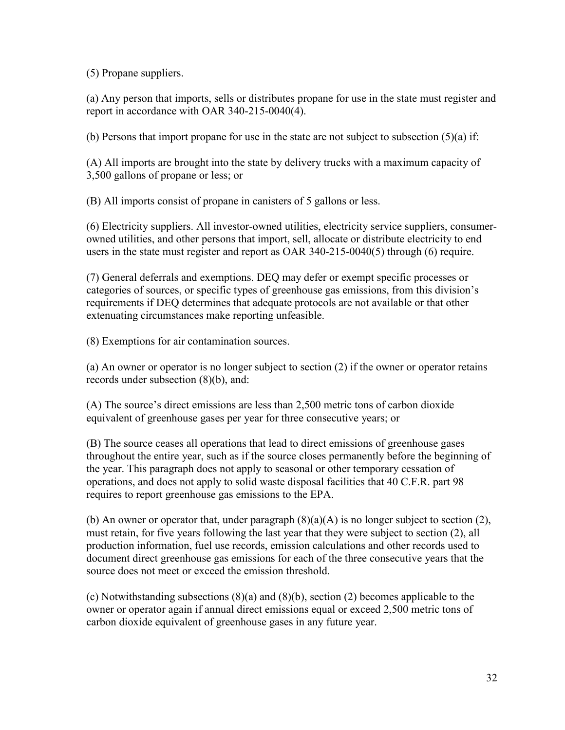(5) Propane suppliers.

(a) Any person that imports, sells or distributes propane for use in the state must register and report in accordance with OAR 340-215-0040(4).

(b) Persons that import propane for use in the state are not subject to subsection  $(5)(a)$  if:

(A) All imports are brought into the state by delivery trucks with a maximum capacity of 3,500 gallons of propane or less; or

(B) All imports consist of propane in canisters of 5 gallons or less.

(6) Electricity suppliers. All investor-owned utilities, electricity service suppliers, consumerowned utilities, and other persons that import, sell, allocate or distribute electricity to end users in the state must register and report as OAR 340-215-0040(5) through (6) require.

(7) General deferrals and exemptions. DEQ may defer or exempt specific processes or categories of sources, or specific types of greenhouse gas emissions, from this division's requirements if DEQ determines that adequate protocols are not available or that other extenuating circumstances make reporting unfeasible.

(8) Exemptions for air contamination sources.

(a) An owner or operator is no longer subject to section (2) if the owner or operator retains records under subsection (8)(b), and:

(A) The source's direct emissions are less than 2,500 metric tons of carbon dioxide equivalent of greenhouse gases per year for three consecutive years; or

(B) The source ceases all operations that lead to direct emissions of greenhouse gases throughout the entire year, such as if the source closes permanently before the beginning of the year. This paragraph does not apply to seasonal or other temporary cessation of operations, and does not apply to solid waste disposal facilities that 40 C.F.R. part 98 requires to report greenhouse gas emissions to the EPA.

(b) An owner or operator that, under paragraph  $(8)(a)(A)$  is no longer subject to section (2), must retain, for five years following the last year that they were subject to section (2), all production information, fuel use records, emission calculations and other records used to document direct greenhouse gas emissions for each of the three consecutive years that the source does not meet or exceed the emission threshold.

(c) Notwithstanding subsections (8)(a) and (8)(b), section (2) becomes applicable to the owner or operator again if annual direct emissions equal or exceed 2,500 metric tons of carbon dioxide equivalent of greenhouse gases in any future year.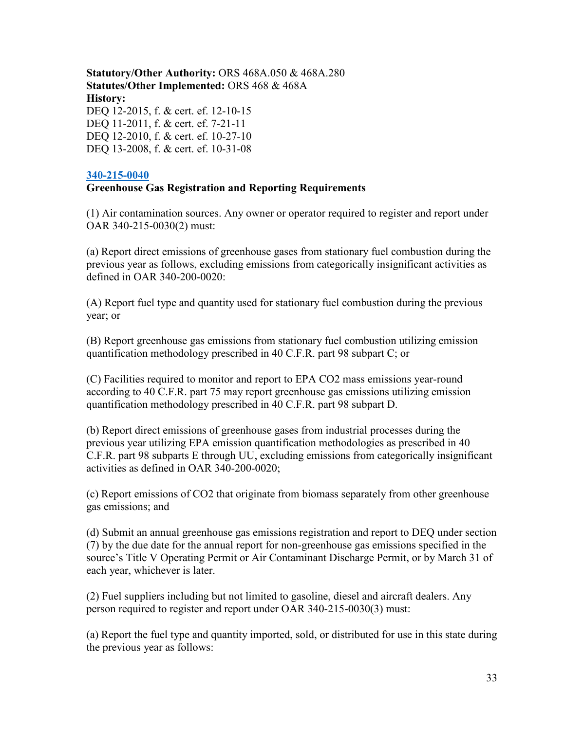**Statutory/Other Authority:** ORS 468A.050 & 468A.280 **Statutes/Other Implemented:** ORS 468 & 468A **History:** DEQ 12-2015, f. & cert. ef. 12-10-15 DEQ 11-2011, f. & cert. ef. 7-21-11 DEQ 12-2010, f. & cert. ef. 10-27-10 DEQ 13-2008, f. & cert. ef. 10-31-08

#### **[340-215-0040](https://secure.sos.state.or.us/oard/viewSingleRule.action?ruleVrsnRsn=73192)**

#### **Greenhouse Gas Registration and Reporting Requirements**

(1) Air contamination sources. Any owner or operator required to register and report under OAR 340-215-0030(2) must:

(a) Report direct emissions of greenhouse gases from stationary fuel combustion during the previous year as follows, excluding emissions from categorically insignificant activities as defined in OAR 340-200-0020:

(A) Report fuel type and quantity used for stationary fuel combustion during the previous year; or

(B) Report greenhouse gas emissions from stationary fuel combustion utilizing emission quantification methodology prescribed in 40 C.F.R. part 98 subpart C; or

(C) Facilities required to monitor and report to EPA CO2 mass emissions year-round according to 40 C.F.R. part 75 may report greenhouse gas emissions utilizing emission quantification methodology prescribed in 40 C.F.R. part 98 subpart D.

(b) Report direct emissions of greenhouse gases from industrial processes during the previous year utilizing EPA emission quantification methodologies as prescribed in 40 C.F.R. part 98 subparts E through UU, excluding emissions from categorically insignificant activities as defined in OAR 340-200-0020;

(c) Report emissions of CO2 that originate from biomass separately from other greenhouse gas emissions; and

(d) Submit an annual greenhouse gas emissions registration and report to DEQ under section (7) by the due date for the annual report for non-greenhouse gas emissions specified in the source's Title V Operating Permit or Air Contaminant Discharge Permit, or by March 31 of each year, whichever is later.

(2) Fuel suppliers including but not limited to gasoline, diesel and aircraft dealers. Any person required to register and report under OAR 340-215-0030(3) must:

(a) Report the fuel type and quantity imported, sold, or distributed for use in this state during the previous year as follows: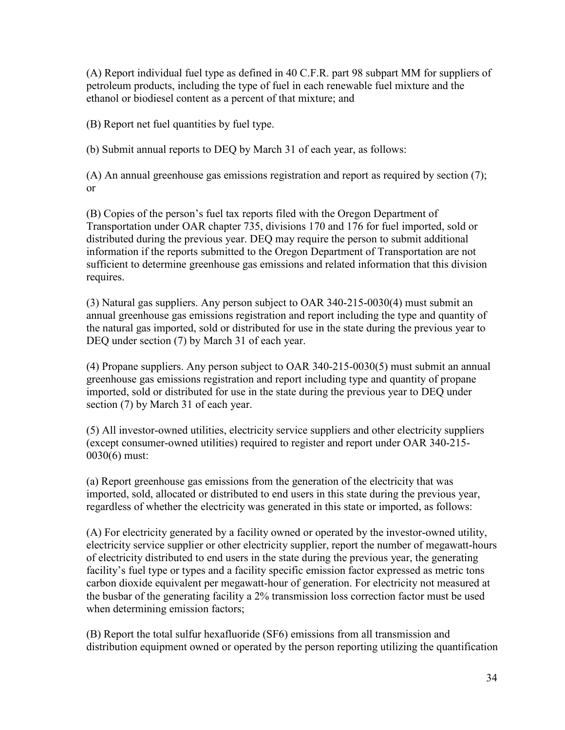(A) Report individual fuel type as defined in 40 C.F.R. part 98 subpart MM for suppliers of petroleum products, including the type of fuel in each renewable fuel mixture and the ethanol or biodiesel content as a percent of that mixture; and

(B) Report net fuel quantities by fuel type.

(b) Submit annual reports to DEQ by March 31 of each year, as follows:

(A) An annual greenhouse gas emissions registration and report as required by section (7); or

(B) Copies of the person's fuel tax reports filed with the Oregon Department of Transportation under OAR chapter 735, divisions 170 and 176 for fuel imported, sold or distributed during the previous year. DEQ may require the person to submit additional information if the reports submitted to the Oregon Department of Transportation are not sufficient to determine greenhouse gas emissions and related information that this division requires.

(3) Natural gas suppliers. Any person subject to OAR 340-215-0030(4) must submit an annual greenhouse gas emissions registration and report including the type and quantity of the natural gas imported, sold or distributed for use in the state during the previous year to DEQ under section (7) by March 31 of each year.

(4) Propane suppliers. Any person subject to OAR 340-215-0030(5) must submit an annual greenhouse gas emissions registration and report including type and quantity of propane imported, sold or distributed for use in the state during the previous year to DEQ under section (7) by March 31 of each year.

(5) All investor-owned utilities, electricity service suppliers and other electricity suppliers (except consumer-owned utilities) required to register and report under OAR 340-215- 0030(6) must:

(a) Report greenhouse gas emissions from the generation of the electricity that was imported, sold, allocated or distributed to end users in this state during the previous year, regardless of whether the electricity was generated in this state or imported, as follows:

(A) For electricity generated by a facility owned or operated by the investor-owned utility, electricity service supplier or other electricity supplier, report the number of megawatt-hours of electricity distributed to end users in the state during the previous year, the generating facility's fuel type or types and a facility specific emission factor expressed as metric tons carbon dioxide equivalent per megawatt-hour of generation. For electricity not measured at the busbar of the generating facility a 2% transmission loss correction factor must be used when determining emission factors;

(B) Report the total sulfur hexafluoride (SF6) emissions from all transmission and distribution equipment owned or operated by the person reporting utilizing the quantification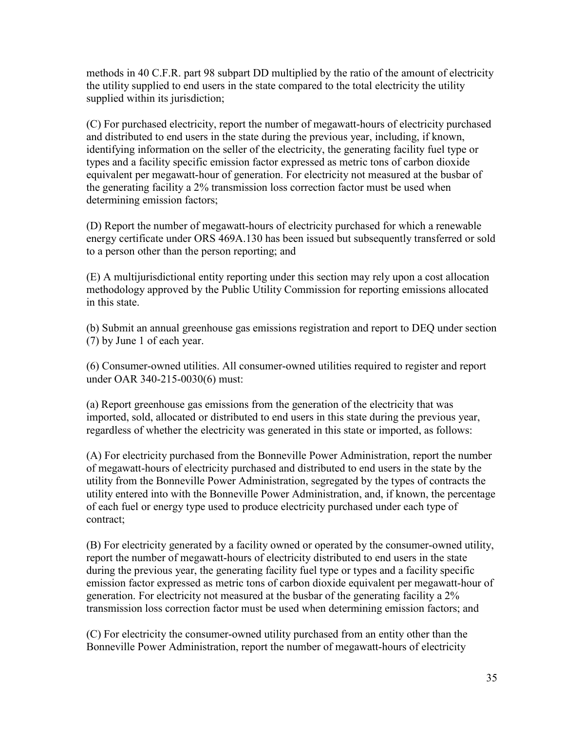methods in 40 C.F.R. part 98 subpart DD multiplied by the ratio of the amount of electricity the utility supplied to end users in the state compared to the total electricity the utility supplied within its jurisdiction;

(C) For purchased electricity, report the number of megawatt-hours of electricity purchased and distributed to end users in the state during the previous year, including, if known, identifying information on the seller of the electricity, the generating facility fuel type or types and a facility specific emission factor expressed as metric tons of carbon dioxide equivalent per megawatt-hour of generation. For electricity not measured at the busbar of the generating facility a 2% transmission loss correction factor must be used when determining emission factors;

(D) Report the number of megawatt-hours of electricity purchased for which a renewable energy certificate under ORS 469A.130 has been issued but subsequently transferred or sold to a person other than the person reporting; and

(E) A multijurisdictional entity reporting under this section may rely upon a cost allocation methodology approved by the Public Utility Commission for reporting emissions allocated in this state.

(b) Submit an annual greenhouse gas emissions registration and report to DEQ under section (7) by June 1 of each year.

(6) Consumer-owned utilities. All consumer-owned utilities required to register and report under OAR 340-215-0030(6) must:

(a) Report greenhouse gas emissions from the generation of the electricity that was imported, sold, allocated or distributed to end users in this state during the previous year, regardless of whether the electricity was generated in this state or imported, as follows:

(A) For electricity purchased from the Bonneville Power Administration, report the number of megawatt-hours of electricity purchased and distributed to end users in the state by the utility from the Bonneville Power Administration, segregated by the types of contracts the utility entered into with the Bonneville Power Administration, and, if known, the percentage of each fuel or energy type used to produce electricity purchased under each type of contract;

(B) For electricity generated by a facility owned or operated by the consumer-owned utility, report the number of megawatt-hours of electricity distributed to end users in the state during the previous year, the generating facility fuel type or types and a facility specific emission factor expressed as metric tons of carbon dioxide equivalent per megawatt-hour of generation. For electricity not measured at the busbar of the generating facility a 2% transmission loss correction factor must be used when determining emission factors; and

(C) For electricity the consumer-owned utility purchased from an entity other than the Bonneville Power Administration, report the number of megawatt-hours of electricity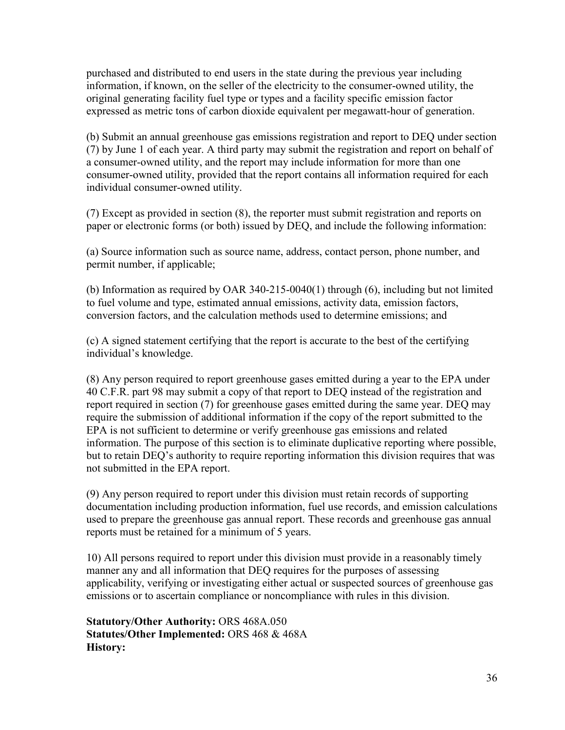purchased and distributed to end users in the state during the previous year including information, if known, on the seller of the electricity to the consumer-owned utility, the original generating facility fuel type or types and a facility specific emission factor expressed as metric tons of carbon dioxide equivalent per megawatt-hour of generation.

(b) Submit an annual greenhouse gas emissions registration and report to DEQ under section (7) by June 1 of each year. A third party may submit the registration and report on behalf of a consumer-owned utility, and the report may include information for more than one consumer-owned utility, provided that the report contains all information required for each individual consumer-owned utility.

(7) Except as provided in section (8), the reporter must submit registration and reports on paper or electronic forms (or both) issued by DEQ, and include the following information:

(a) Source information such as source name, address, contact person, phone number, and permit number, if applicable;

(b) Information as required by OAR 340-215-0040(1) through (6), including but not limited to fuel volume and type, estimated annual emissions, activity data, emission factors, conversion factors, and the calculation methods used to determine emissions; and

(c) A signed statement certifying that the report is accurate to the best of the certifying individual's knowledge.

(8) Any person required to report greenhouse gases emitted during a year to the EPA under 40 C.F.R. part 98 may submit a copy of that report to DEQ instead of the registration and report required in section (7) for greenhouse gases emitted during the same year. DEQ may require the submission of additional information if the copy of the report submitted to the EPA is not sufficient to determine or verify greenhouse gas emissions and related information. The purpose of this section is to eliminate duplicative reporting where possible, but to retain DEQ's authority to require reporting information this division requires that was not submitted in the EPA report.

(9) Any person required to report under this division must retain records of supporting documentation including production information, fuel use records, and emission calculations used to prepare the greenhouse gas annual report. These records and greenhouse gas annual reports must be retained for a minimum of 5 years.

10) All persons required to report under this division must provide in a reasonably timely manner any and all information that DEQ requires for the purposes of assessing applicability, verifying or investigating either actual or suspected sources of greenhouse gas emissions or to ascertain compliance or noncompliance with rules in this division.

**Statutory/Other Authority:** ORS 468A.050 **Statutes/Other Implemented:** ORS 468 & 468A **History:**